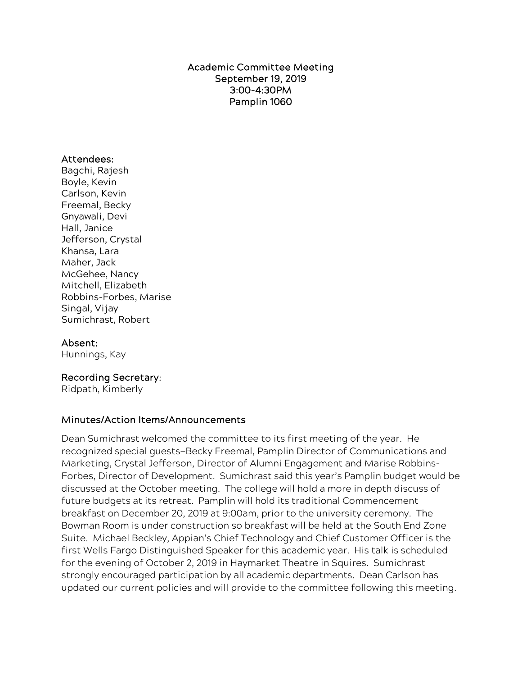Academic Committee Meeting September 19, 2019 3:00-4:30PM Pamplin 1060

## Attendees:

Bagchi, Rajesh Boyle, Kevin Carlson, Kevin Freemal, Becky Gnyawali, Devi Hall, Janice Jefferson, Crystal Khansa, Lara Maher, Jack McGehee, Nancy Mitchell, Elizabeth Robbins-Forbes, Marise Singal, Vijay Sumichrast, Robert

## Absent:

Hunnings, Kay

## Recording Secretary:

Ridpath, Kimberly

## Minutes/Action Items/Announcements

Dean Sumichrast welcomed the committee to its first meeting of the year. He recognized special guests—Becky Freemal, Pamplin Director of Communications and Marketing, Crystal Jefferson, Director of Alumni Engagement and Marise Robbins-Forbes, Director of Development. Sumichrast said this year's Pamplin budget would be discussed at the October meeting. The college will hold a more in depth discuss of future budgets at its retreat. Pamplin will hold its traditional Commencement breakfast on December 20, 2019 at 9:00am, prior to the university ceremony. The Bowman Room is under construction so breakfast will be held at the South End Zone Suite. Michael Beckley, Appian's Chief Technology and Chief Customer Officer is the first Wells Fargo Distinguished Speaker for this academic year. His talk is scheduled for the evening of October 2, 2019 in Haymarket Theatre in Squires. Sumichrast strongly encouraged participation by all academic departments. Dean Carlson has updated our current policies and will provide to the committee following this meeting.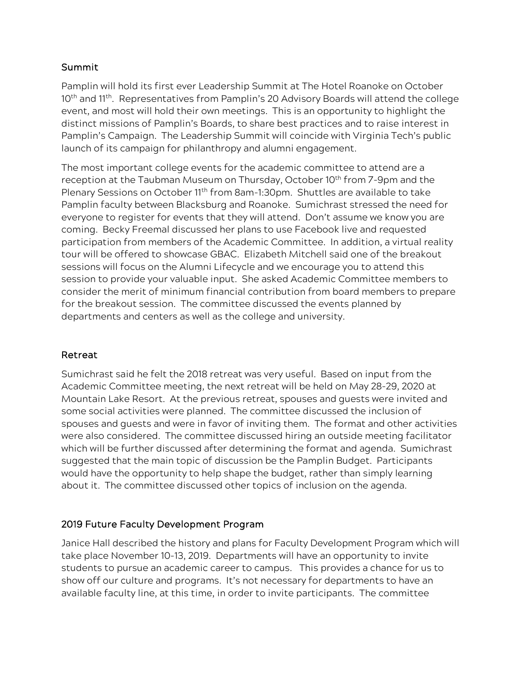## Summit

Pamplin will hold its first ever Leadership Summit at The Hotel Roanoke on October 10<sup>th</sup> and 11<sup>th</sup>. Representatives from Pamplin's 20 Advisory Boards will attend the college event, and most will hold their own meetings. This is an opportunity to highlight the distinct missions of Pamplin's Boards, to share best practices and to raise interest in Pamplin's Campaign. The Leadership Summit will coincide with Virginia Tech's public launch of its campaign for philanthropy and alumni engagement.

The most important college events for the academic committee to attend are a reception at the Taubman Museum on Thursday, October 10<sup>th</sup> from 7-9pm and the Plenary Sessions on October 11<sup>th</sup> from 8am-1:30pm. Shuttles are available to take Pamplin faculty between Blacksburg and Roanoke. Sumichrast stressed the need for everyone to register for events that they will attend. Don't assume we know you are coming. Becky Freemal discussed her plans to use Facebook live and requested participation from members of the Academic Committee. In addition, a virtual reality tour will be offered to showcase GBAC. Elizabeth Mitchell said one of the breakout sessions will focus on the Alumni Lifecycle and we encourage you to attend this session to provide your valuable input. She asked Academic Committee members to consider the merit of minimum financial contribution from board members to prepare for the breakout session. The committee discussed the events planned by departments and centers as well as the college and university.

# Retreat

Sumichrast said he felt the 2018 retreat was very useful. Based on input from the Academic Committee meeting, the next retreat will be held on May 28-29, 2020 at Mountain Lake Resort. At the previous retreat, spouses and guests were invited and some social activities were planned. The committee discussed the inclusion of spouses and guests and were in favor of inviting them. The format and other activities were also considered. The committee discussed hiring an outside meeting facilitator which will be further discussed after determining the format and agenda. Sumichrast suggested that the main topic of discussion be the Pamplin Budget. Participants would have the opportunity to help shape the budget, rather than simply learning about it. The committee discussed other topics of inclusion on the agenda.

# 2019 Future Faculty Development Program

Janice Hall described the history and plans for Faculty Development Program which will take place November 10-13, 2019. Departments will have an opportunity to invite students to pursue an academic career to campus. This provides a chance for us to show off our culture and programs. It's not necessary for departments to have an available faculty line, at this time, in order to invite participants. The committee